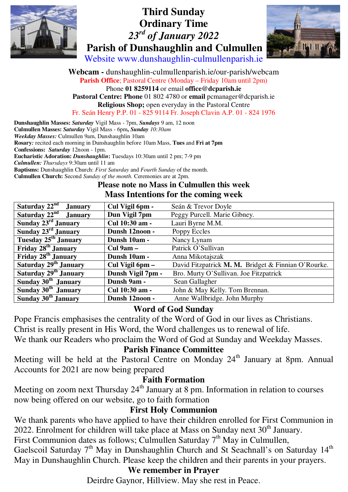





Website www.dunshaughlin-culmullenparish.ie

**Webcam -** dunshaughlin-culmullenparish.ie/our-parish/webcam **Parish Office**; Pastoral Centre (Monday – Friday 10am until 2pm) Phone **01 8259114** or email **office@dcparish.ie Pastoral Centre: Phone** 01 802 4780 or **email** pcmanager@dcparish.ie **Religious Shop;** open everyday in the Pastoral Centre Fr. Seán Henry P.P. 01 - 825 9114 Fr. Joseph Clavin A.P. 01 - 824 1976

**Dunshaughlin Masses:** *Saturday* Vigil Mass - 7pm, *Sundays* 9 am, 12 noon **Culmullen Masses:** *Saturday* Vigil Mass - 6pm**,** *Sunday 10:30am Weekday Masses:* Culmullen 9am, Dunshaughlin 10am **Rosary***:* recited each morning in Dunshaughlin before 10am Mass, **Tues** and **Fri at 7pm Confessions:** *Saturday* 12noon - 1pm. **Eucharistic Adoration:** *Dunshaughlin***:** Tuesdays 10:30am until 2 pm; 7-9 pm *Culmullen: Thursdays* 9:30am until 11 am **Baptisms:** Dunshaughlin Church: *First Saturday* and *Fourth Sunday* of the month.

**Culmullen Church:** Second *Sunday of the month.* Ceremonies are at 2pm.

#### **Please note no Mass in Culmullen this week Mass Intentions for the coming week**

| Saturday $22nd$ January           | Cul Vigil 6pm -   | Seán & Trevor Doyle                                 |
|-----------------------------------|-------------------|-----------------------------------------------------|
| Saturday $22^{nd}$ January        | Dun Vigil 7pm     | Peggy Purcell. Marie Gibney.                        |
| Sunday $23rd$ January             | Cul 10:30 am -    | Lauri Byrne M.M.                                    |
| Sunday 23rd January               | Dunsh 12noon -    | Poppy Eccles                                        |
| Tuesday 25 <sup>th</sup> January  | Dunsh 10am -      | Nancy Lynam                                         |
| Friday 28 <sup>th</sup> January   | Cul $9am -$       | Patrick O'Sullivan                                  |
| Friday 28 <sup>th</sup> January   | Dunsh 10am -      | Anna Mikotajszak                                    |
| Saturday 29 <sup>th</sup> January | Cul Vigil 6pm -   | David Fitzpatrick M. M. Bridget & Finnian O'Rourke. |
| Saturday 29 <sup>th</sup> January | Dunsh Vigil 7pm - | Bro. Murty O'Sullivan. Joe Fitzpatrick              |
| Sunday $30th$ January             | Dunsh 9am -       | Sean Gallagher                                      |
| Sunday 30 <sup>th</sup> January   | Cul 10:30 am -    | John & May Kelly. Tom Brennan.                      |
| Sunday 30 <sup>th</sup> January   | Dunsh 12noon -    | Anne Wallbridge. John Murphy                        |

#### **Word of God Sunday**

Pope Francis emphasises the centrality of the Word of God in our lives as Christians.

Christ is really present in His Word, the Word challenges us to renewal of life.

We thank our Readers who proclaim the Word of God at Sunday and Weekday Masses.

#### **Parish Finance Committee**

Meeting will be held at the Pastoral Centre on Monday 24<sup>th</sup> January at 8pm. Annual Accounts for 2021 are now being prepared

### **Faith Formation**

Meeting on zoom next Thursday  $24<sup>th</sup>$  January at 8 pm. Information in relation to courses now being offered on our website, go to faith formation

#### **First Holy Communion**

We thank parents who have applied to have their children enrolled for First Communion in 2022. Enrolment for children will take place at Mass on Sunday next  $30<sup>th</sup>$  January.

First Communion dates as follows; Culmullen Saturday  $7<sup>th</sup>$  May in Culmullen,

Gaelscoil Saturday 7<sup>th</sup> May in Dunshaughlin Church and St Seachnall's on Saturday 14<sup>th</sup> May in Dunshaughlin Church. Please keep the children and their parents in your prayers.

#### **We remember in Prayer**

Deirdre Gaynor, Hillview. May she rest in Peace.